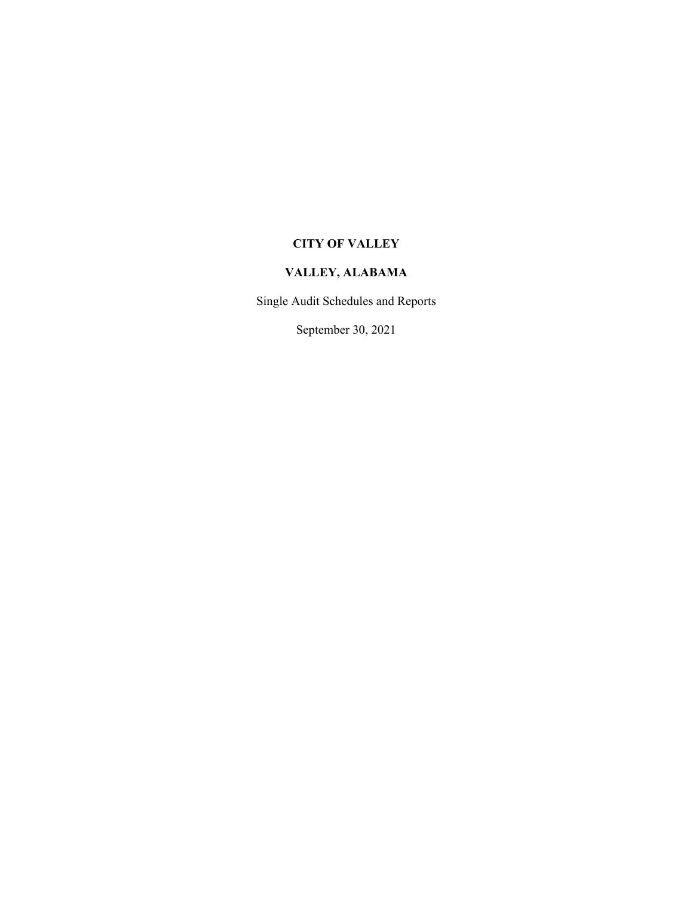## **CITY OF VALLEY**

## **VALLEY, ALABAMA**

Single Audit Schedules and Reports

September 30, 2021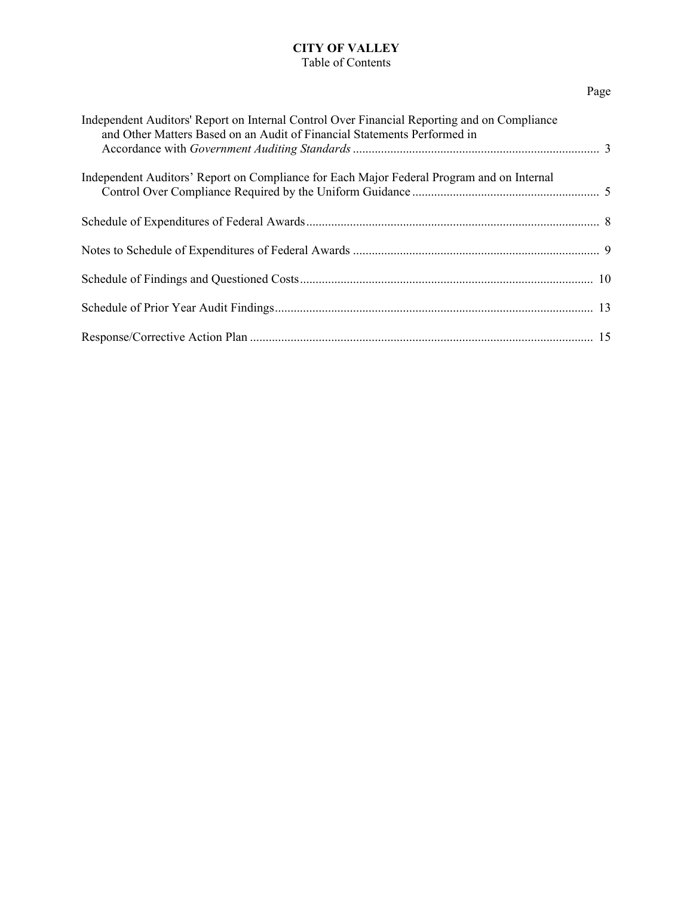## **CITY OF VALLEY**

## Table of Contents

## Page

| Independent Auditors' Report on Internal Control Over Financial Reporting and on Compliance<br>and Other Matters Based on an Audit of Financial Statements Performed in |  |
|-------------------------------------------------------------------------------------------------------------------------------------------------------------------------|--|
| Independent Auditors' Report on Compliance for Each Major Federal Program and on Internal                                                                               |  |
|                                                                                                                                                                         |  |
|                                                                                                                                                                         |  |
|                                                                                                                                                                         |  |
|                                                                                                                                                                         |  |
|                                                                                                                                                                         |  |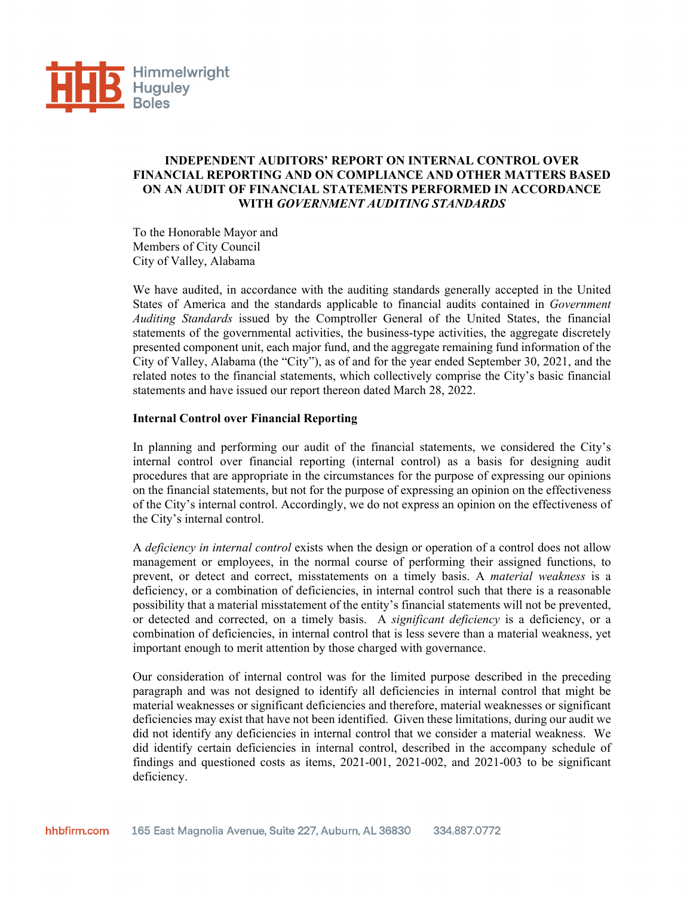

#### **INDEPENDENT AUDITORS' REPORT ON INTERNAL CONTROL OVER FINANCIAL REPORTING AND ON COMPLIANCE AND OTHER MATTERS BASED ON AN AUDIT OF FINANCIAL STATEMENTS PERFORMED IN ACCORDANCE WITH** *GOVERNMENT AUDITING STANDARDS*

To the Honorable Mayor and Members of City Council City of Valley, Alabama

We have audited, in accordance with the auditing standards generally accepted in the United States of America and the standards applicable to financial audits contained in *Government Auditing Standards* issued by the Comptroller General of the United States, the financial statements of the governmental activities, the business-type activities, the aggregate discretely presented component unit, each major fund, and the aggregate remaining fund information of the City of Valley, Alabama (the "City"), as of and for the year ended September 30, 2021, and the related notes to the financial statements, which collectively comprise the City's basic financial statements and have issued our report thereon dated March 28, 2022.

#### **Internal Control over Financial Reporting**

In planning and performing our audit of the financial statements, we considered the City's internal control over financial reporting (internal control) as a basis for designing audit procedures that are appropriate in the circumstances for the purpose of expressing our opinions on the financial statements, but not for the purpose of expressing an opinion on the effectiveness of the City's internal control. Accordingly, we do not express an opinion on the effectiveness of the City's internal control.

A *deficiency in internal control* exists when the design or operation of a control does not allow management or employees, in the normal course of performing their assigned functions, to prevent, or detect and correct, misstatements on a timely basis. A *material weakness* is a deficiency, or a combination of deficiencies, in internal control such that there is a reasonable possibility that a material misstatement of the entity's financial statements will not be prevented, or detected and corrected, on a timely basis. A *significant deficiency* is a deficiency, or a combination of deficiencies, in internal control that is less severe than a material weakness, yet important enough to merit attention by those charged with governance.

Our consideration of internal control was for the limited purpose described in the preceding paragraph and was not designed to identify all deficiencies in internal control that might be material weaknesses or significant deficiencies and therefore, material weaknesses or significant deficiencies may exist that have not been identified. Given these limitations, during our audit we did not identify any deficiencies in internal control that we consider a material weakness. We did identify certain deficiencies in internal control, described in the accompany schedule of findings and questioned costs as items, 2021-001, 2021-002, and 2021-003 to be significant deficiency.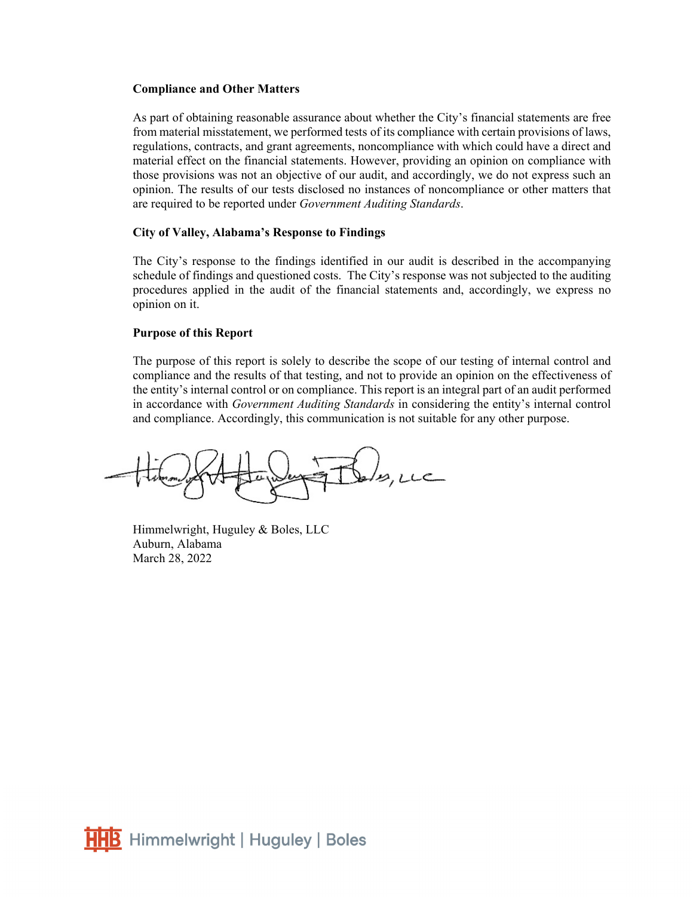#### **Compliance and Other Matters**

As part of obtaining reasonable assurance about whether the City's financial statements are free from material misstatement, we performed tests of its compliance with certain provisions of laws, regulations, contracts, and grant agreements, noncompliance with which could have a direct and material effect on the financial statements. However, providing an opinion on compliance with those provisions was not an objective of our audit, and accordingly, we do not express such an opinion. The results of our tests disclosed no instances of noncompliance or other matters that are required to be reported under *Government Auditing Standards*.

#### **City of Valley, Alabama's Response to Findings**

The City's response to the findings identified in our audit is described in the accompanying schedule of findings and questioned costs. The City's response was not subjected to the auditing procedures applied in the audit of the financial statements and, accordingly, we express no opinion on it.

#### **Purpose of this Report**

The purpose of this report is solely to describe the scope of our testing of internal control and compliance and the results of that testing, and not to provide an opinion on the effectiveness of the entity's internal control or on compliance. This report is an integral part of an audit performed in accordance with *Government Auditing Standards* in considering the entity's internal control and compliance. Accordingly, this communication is not suitable for any other purpose.

 $J$ es,  $uc$ 

Himmelwright, Huguley & Boles, LLC Auburn, Alabama March 28, 2022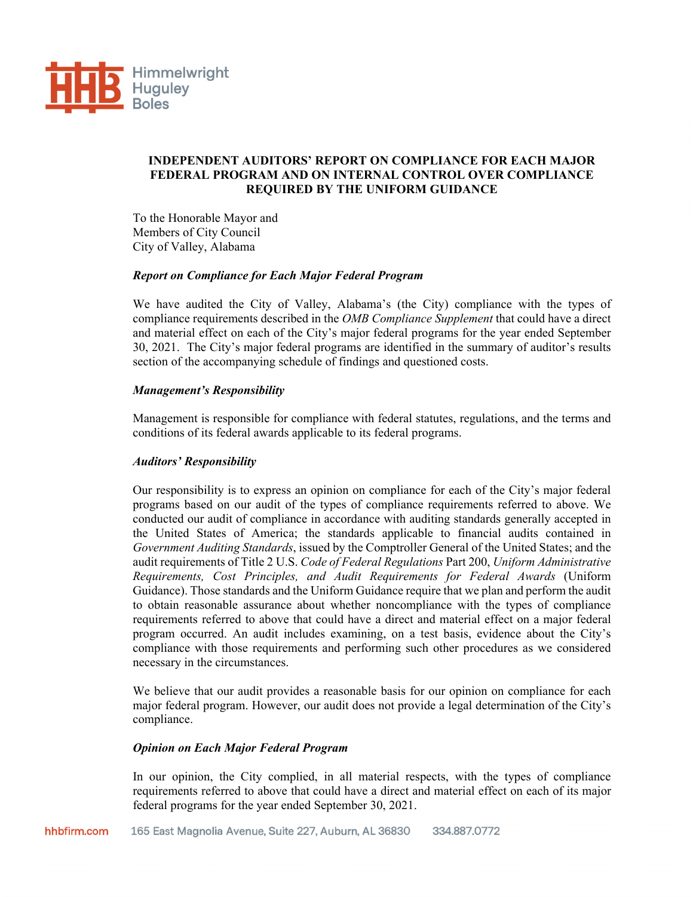

#### **INDEPENDENT AUDITORS' REPORT ON COMPLIANCE FOR EACH MAJOR FEDERAL PROGRAM AND ON INTERNAL CONTROL OVER COMPLIANCE REQUIRED BY THE UNIFORM GUIDANCE**

To the Honorable Mayor and Members of City Council City of Valley, Alabama

#### *Report on Compliance for Each Major Federal Program*

We have audited the City of Valley, Alabama's (the City) compliance with the types of compliance requirements described in the *OMB Compliance Supplement* that could have a direct and material effect on each of the City's major federal programs for the year ended September 30, 2021. The City's major federal programs are identified in the summary of auditor's results section of the accompanying schedule of findings and questioned costs.

#### *Management's Responsibility*

Management is responsible for compliance with federal statutes, regulations, and the terms and conditions of its federal awards applicable to its federal programs.

#### *Auditors' Responsibility*

Our responsibility is to express an opinion on compliance for each of the City's major federal programs based on our audit of the types of compliance requirements referred to above. We conducted our audit of compliance in accordance with auditing standards generally accepted in the United States of America; the standards applicable to financial audits contained in *Government Auditing Standards*, issued by the Comptroller General of the United States; and the audit requirements of Title 2 U.S. *Code of Federal Regulations* Part 200, *Uniform Administrative Requirements, Cost Principles, and Audit Requirements for Federal Awards* (Uniform Guidance). Those standards and the Uniform Guidance require that we plan and perform the audit to obtain reasonable assurance about whether noncompliance with the types of compliance requirements referred to above that could have a direct and material effect on a major federal program occurred. An audit includes examining, on a test basis, evidence about the City's compliance with those requirements and performing such other procedures as we considered necessary in the circumstances.

We believe that our audit provides a reasonable basis for our opinion on compliance for each major federal program. However, our audit does not provide a legal determination of the City's compliance.

#### *Opinion on Each Major Federal Program*

In our opinion, the City complied, in all material respects, with the types of compliance requirements referred to above that could have a direct and material effect on each of its major federal programs for the year ended September 30, 2021.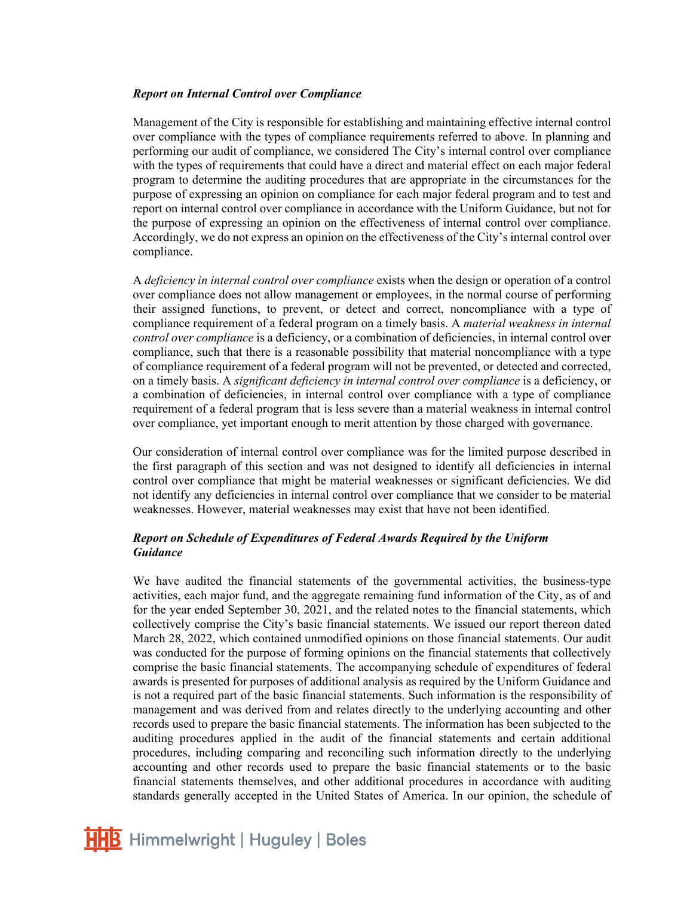#### *Report on Internal Control over Compliance*

Management of the City is responsible for establishing and maintaining effective internal control over compliance with the types of compliance requirements referred to above. In planning and performing our audit of compliance, we considered The City's internal control over compliance with the types of requirements that could have a direct and material effect on each major federal program to determine the auditing procedures that are appropriate in the circumstances for the purpose of expressing an opinion on compliance for each major federal program and to test and report on internal control over compliance in accordance with the Uniform Guidance, but not for the purpose of expressing an opinion on the effectiveness of internal control over compliance. Accordingly, we do not express an opinion on the effectiveness of the City's internal control over compliance.

A *deficiency in internal control over compliance* exists when the design or operation of a control over compliance does not allow management or employees, in the normal course of performing their assigned functions, to prevent, or detect and correct, noncompliance with a type of compliance requirement of a federal program on a timely basis. A *material weakness in internal control over compliance* is a deficiency, or a combination of deficiencies, in internal control over compliance, such that there is a reasonable possibility that material noncompliance with a type of compliance requirement of a federal program will not be prevented, or detected and corrected, on a timely basis. A *significant deficiency in internal control over compliance* is a deficiency, or a combination of deficiencies, in internal control over compliance with a type of compliance requirement of a federal program that is less severe than a material weakness in internal control over compliance, yet important enough to merit attention by those charged with governance.

Our consideration of internal control over compliance was for the limited purpose described in the first paragraph of this section and was not designed to identify all deficiencies in internal control over compliance that might be material weaknesses or significant deficiencies. We did not identify any deficiencies in internal control over compliance that we consider to be material weaknesses. However, material weaknesses may exist that have not been identified.

#### *Report on Schedule of Expenditures of Federal Awards Required by the Uniform Guidance*

We have audited the financial statements of the governmental activities, the business-type activities, each major fund, and the aggregate remaining fund information of the City, as of and for the year ended September 30, 2021, and the related notes to the financial statements, which collectively comprise the City's basic financial statements. We issued our report thereon dated March 28, 2022, which contained unmodified opinions on those financial statements. Our audit was conducted for the purpose of forming opinions on the financial statements that collectively comprise the basic financial statements. The accompanying schedule of expenditures of federal awards is presented for purposes of additional analysis as required by the Uniform Guidance and is not a required part of the basic financial statements. Such information is the responsibility of management and was derived from and relates directly to the underlying accounting and other records used to prepare the basic financial statements. The information has been subjected to the auditing procedures applied in the audit of the financial statements and certain additional procedures, including comparing and reconciling such information directly to the underlying accounting and other records used to prepare the basic financial statements or to the basic financial statements themselves, and other additional procedures in accordance with auditing standards generally accepted in the United States of America. In our opinion, the schedule of

**HHB** Himmelwright | Huguley | Boles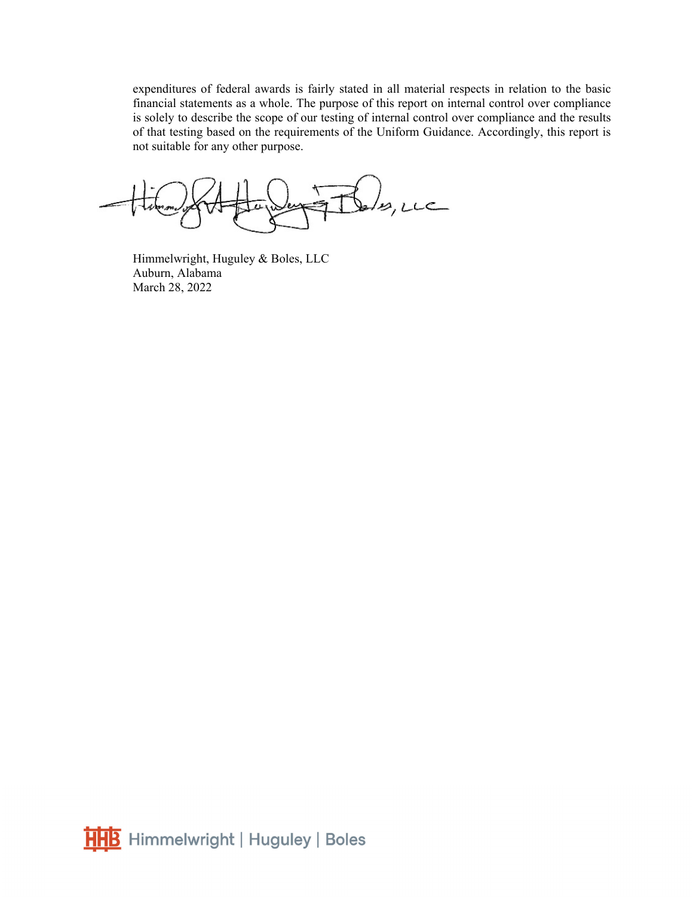expenditures of federal awards is fairly stated in all material respects in relation to the basic financial statements as a whole. The purpose of this report on internal control over compliance is solely to describe the scope of our testing of internal control over compliance and the results of that testing based on the requirements of the Uniform Guidance. Accordingly, this report is not suitable for any other purpose.

Jes, uc

Himmelwright, Huguley & Boles, LLC Auburn, Alabama March 28, 2022

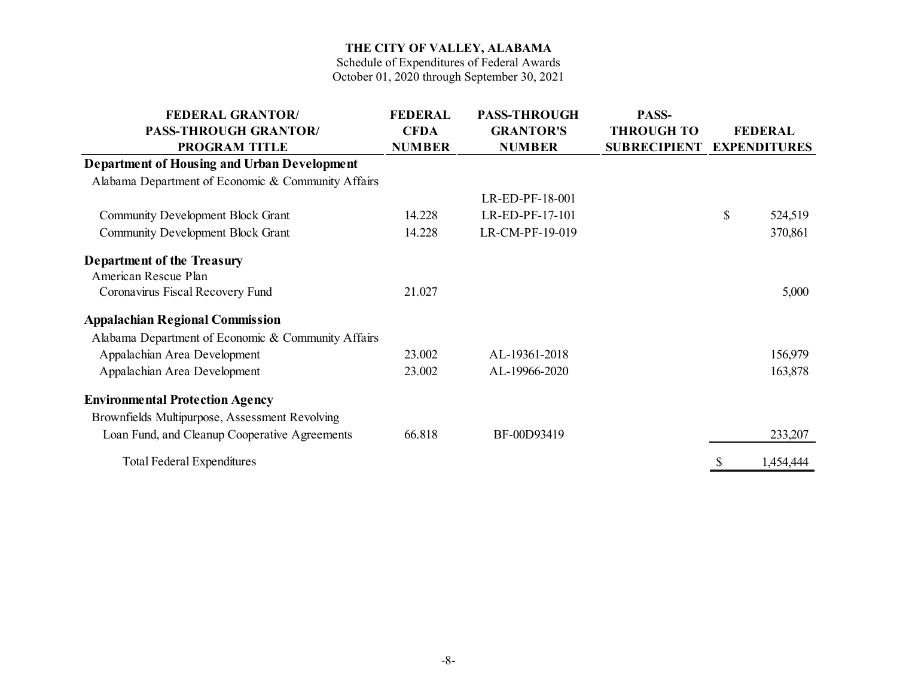Schedule of Expenditures of Federal Awards October 01, 2020 through September 30, 2021

| <b>FEDERAL GRANTOR/</b>                            | <b>FEDERAL</b> | <b>PASS-THROUGH</b> | PASS-             |                           |
|----------------------------------------------------|----------------|---------------------|-------------------|---------------------------|
| <b>PASS-THROUGH GRANTOR/</b>                       | <b>CFDA</b>    | <b>GRANTOR'S</b>    | <b>THROUGH TO</b> | <b>FEDERAL</b>            |
| <b>PROGRAM TITLE</b>                               | <b>NUMBER</b>  | <b>NUMBER</b>       |                   | SUBRECIPIENT EXPENDITURES |
| <b>Department of Housing and Urban Development</b> |                |                     |                   |                           |
| Alabama Department of Economic & Community Affairs |                |                     |                   |                           |
|                                                    |                | LR-ED-PF-18-001     |                   |                           |
| <b>Community Development Block Grant</b>           | 14.228         | LR-ED-PF-17-101     |                   | \$<br>524,519             |
| <b>Community Development Block Grant</b>           | 14.228         | LR-CM-PF-19-019     |                   | 370,861                   |
| <b>Department of the Treasury</b>                  |                |                     |                   |                           |
| American Rescue Plan                               |                |                     |                   |                           |
| Coronavirus Fiscal Recovery Fund                   | 21.027         |                     |                   | 5,000                     |
| <b>Appalachian Regional Commission</b>             |                |                     |                   |                           |
| Alabama Department of Economic & Community Affairs |                |                     |                   |                           |
| Appalachian Area Development                       | 23.002         | AL-19361-2018       |                   | 156,979                   |
| Appalachian Area Development                       | 23.002         | AL-19966-2020       |                   | 163,878                   |
| <b>Environmental Protection Agency</b>             |                |                     |                   |                           |
| Brownfields Multipurpose, Assessment Revolving     |                |                     |                   |                           |
| Loan Fund, and Cleanup Cooperative Agreements      | 66.818         | BF-00D93419         |                   | 233,207                   |
| <b>Total Federal Expenditures</b>                  |                |                     |                   | 1,454,444<br>P            |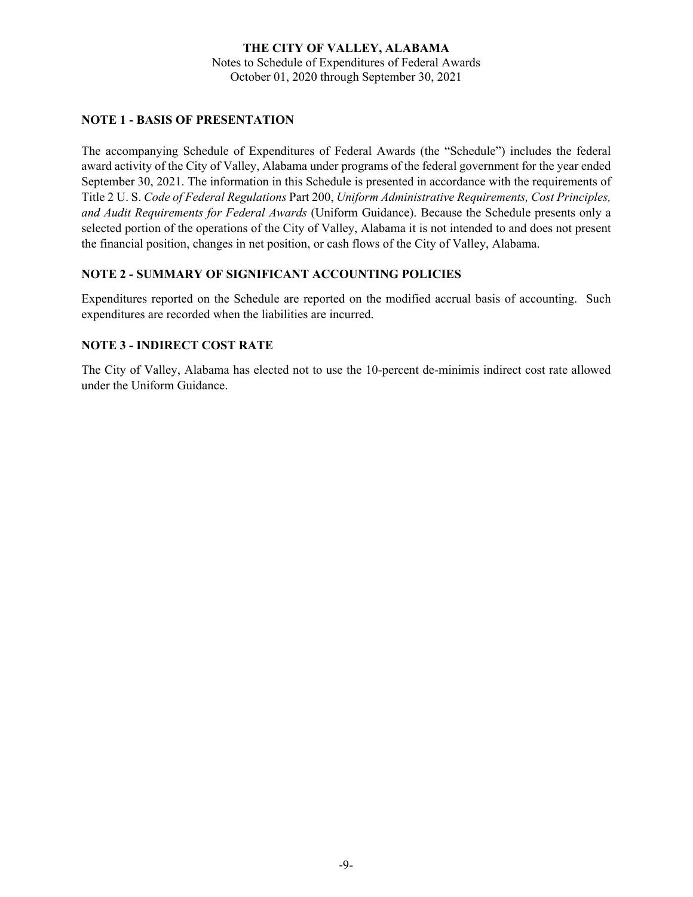#### **THE CITY OF VALLEY, ALABAMA**  Notes to Schedule of Expenditures of Federal Awards October 01, 2020 through September 30, 2021

#### **NOTE 1 - BASIS OF PRESENTATION**

The accompanying Schedule of Expenditures of Federal Awards (the "Schedule") includes the federal award activity of the City of Valley, Alabama under programs of the federal government for the year ended September 30, 2021. The information in this Schedule is presented in accordance with the requirements of Title 2 U. S. *Code of Federal Regulations* Part 200, *Uniform Administrative Requirements, Cost Principles, and Audit Requirements for Federal Awards* (Uniform Guidance). Because the Schedule presents only a selected portion of the operations of the City of Valley, Alabama it is not intended to and does not present the financial position, changes in net position, or cash flows of the City of Valley, Alabama.

#### **NOTE 2 - SUMMARY OF SIGNIFICANT ACCOUNTING POLICIES**

Expenditures reported on the Schedule are reported on the modified accrual basis of accounting. Such expenditures are recorded when the liabilities are incurred.

#### **NOTE 3 - INDIRECT COST RATE**

The City of Valley, Alabama has elected not to use the 10-percent de-minimis indirect cost rate allowed under the Uniform Guidance.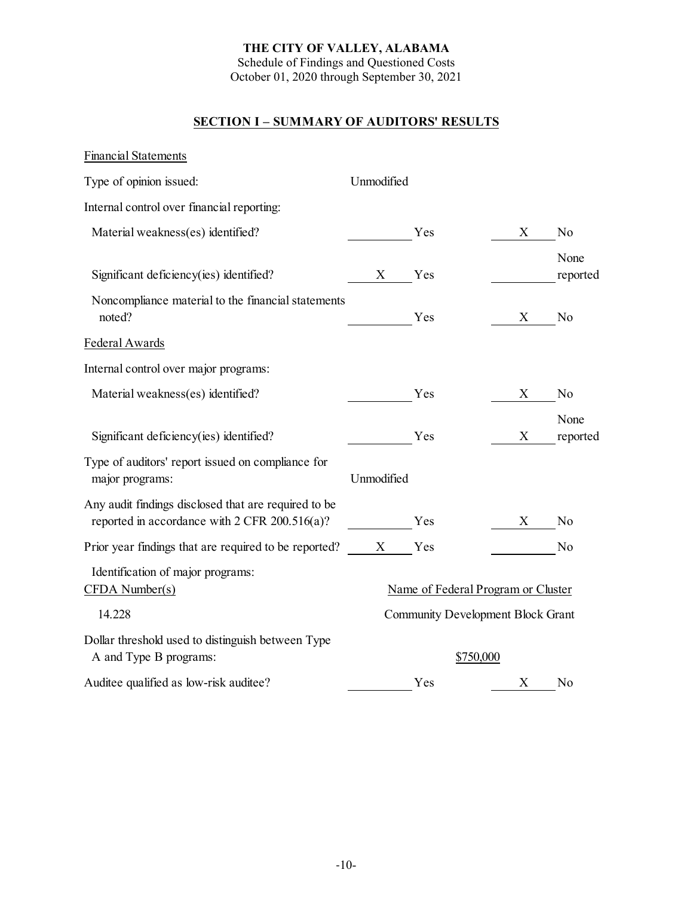Schedule of Findings and Questioned Costs October 01, 2020 through September 30, 2021

## **SECTION I – SUMMARY OF AUDITORS' RESULTS**

| <b>Financial Statements</b>                                                                           |            |                                          |   |                  |
|-------------------------------------------------------------------------------------------------------|------------|------------------------------------------|---|------------------|
| Type of opinion issued:                                                                               | Unmodified |                                          |   |                  |
| Internal control over financial reporting:                                                            |            |                                          |   |                  |
| Material weakness(es) identified?                                                                     |            | Yes                                      | X | No               |
| Significant deficiency(ies) identified?                                                               | X          | Yes                                      |   | None<br>reported |
| Noncompliance material to the financial statements<br>noted?                                          |            | Yes                                      | X | N <sub>o</sub>   |
| Federal Awards                                                                                        |            |                                          |   |                  |
| Internal control over major programs:                                                                 |            |                                          |   |                  |
| Material weakness(es) identified?                                                                     |            | Yes                                      | Χ | No               |
| Significant deficiency(ies) identified?                                                               |            | Yes                                      | X | None<br>reported |
| Type of auditors' report issued on compliance for<br>major programs:                                  | Unmodified |                                          |   |                  |
| Any audit findings disclosed that are required to be<br>reported in accordance with 2 CFR 200.516(a)? |            | Yes                                      | Χ | No               |
| Prior year findings that are required to be reported?                                                 | X          | Yes                                      |   | No               |
| Identification of major programs:<br>CFDA Number(s)                                                   |            | Name of Federal Program or Cluster       |   |                  |
| 14.228                                                                                                |            | <b>Community Development Block Grant</b> |   |                  |
| Dollar threshold used to distinguish between Type<br>A and Type B programs:                           |            | \$750,000                                |   |                  |
| Auditee qualified as low-risk auditee?                                                                |            | Yes                                      | X | No               |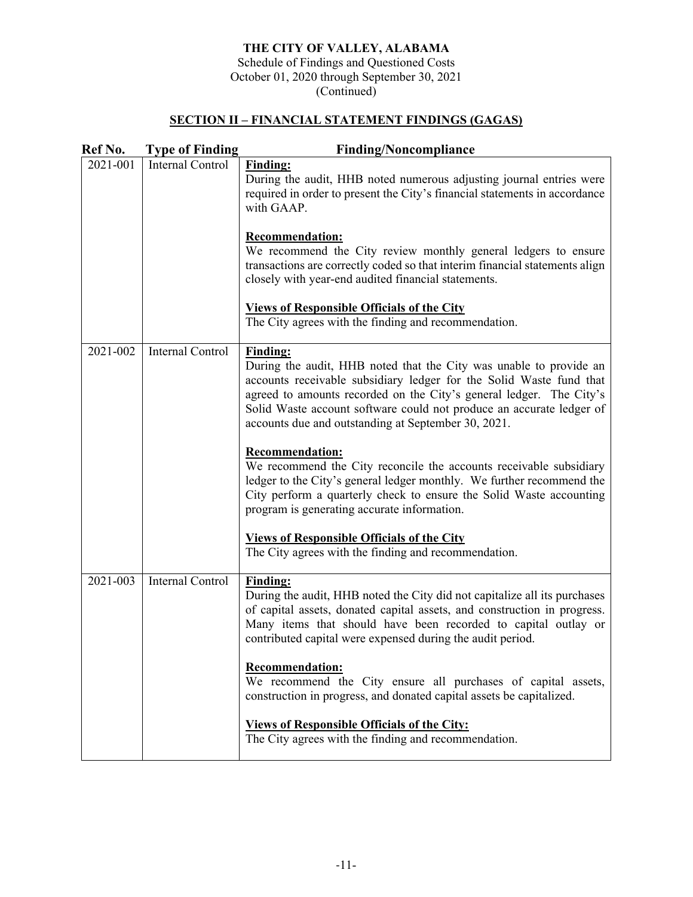Schedule of Findings and Questioned Costs October 01, 2020 through September 30, 2021 (Continued)

## **SECTION II – FINANCIAL STATEMENT FINDINGS (GAGAS)**

| Ref No.  | <b>Type of Finding</b>  | <b>Finding/Noncompliance</b>                                                                                                                                                                                                                                                                                                                                       |
|----------|-------------------------|--------------------------------------------------------------------------------------------------------------------------------------------------------------------------------------------------------------------------------------------------------------------------------------------------------------------------------------------------------------------|
| 2021-001 | <b>Internal Control</b> | <b>Finding:</b><br>During the audit, HHB noted numerous adjusting journal entries were<br>required in order to present the City's financial statements in accordance<br>with GAAP.                                                                                                                                                                                 |
|          |                         | <b>Recommendation:</b><br>We recommend the City review monthly general ledgers to ensure<br>transactions are correctly coded so that interim financial statements align<br>closely with year-end audited financial statements.                                                                                                                                     |
|          |                         | <b>Views of Responsible Officials of the City</b><br>The City agrees with the finding and recommendation.                                                                                                                                                                                                                                                          |
| 2021-002 | <b>Internal Control</b> | <b>Finding:</b><br>During the audit, HHB noted that the City was unable to provide an<br>accounts receivable subsidiary ledger for the Solid Waste fund that<br>agreed to amounts recorded on the City's general ledger. The City's<br>Solid Waste account software could not produce an accurate ledger of<br>accounts due and outstanding at September 30, 2021. |
|          |                         | <b>Recommendation:</b><br>We recommend the City reconcile the accounts receivable subsidiary<br>ledger to the City's general ledger monthly. We further recommend the<br>City perform a quarterly check to ensure the Solid Waste accounting<br>program is generating accurate information.                                                                        |
|          |                         | <b>Views of Responsible Officials of the City</b><br>The City agrees with the finding and recommendation.                                                                                                                                                                                                                                                          |
| 2021-003 | <b>Internal Control</b> | <b>Finding:</b><br>During the audit, HHB noted the City did not capitalize all its purchases<br>of capital assets, donated capital assets, and construction in progress.<br>Many items that should have been recorded to capital outlay or<br>contributed capital were expensed during the audit period.                                                           |
|          |                         | <b>Recommendation:</b><br>We recommend the City ensure all purchases of capital assets,<br>construction in progress, and donated capital assets be capitalized.                                                                                                                                                                                                    |
|          |                         | <b>Views of Responsible Officials of the City:</b><br>The City agrees with the finding and recommendation.                                                                                                                                                                                                                                                         |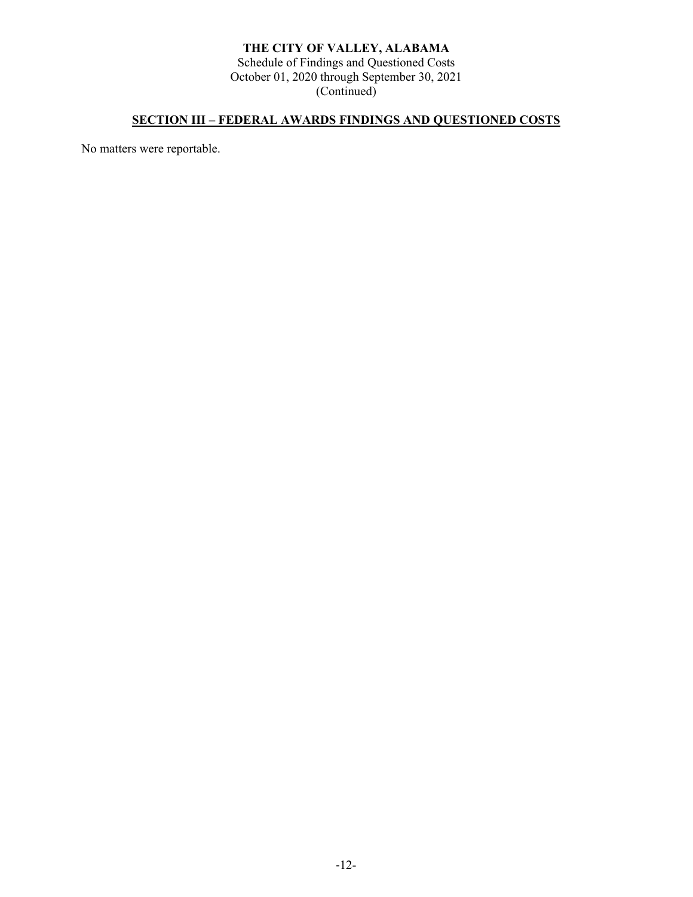Schedule of Findings and Questioned Costs October 01, 2020 through September 30, 2021 (Continued)

## **SECTION III – FEDERAL AWARDS FINDINGS AND QUESTIONED COSTS**

No matters were reportable.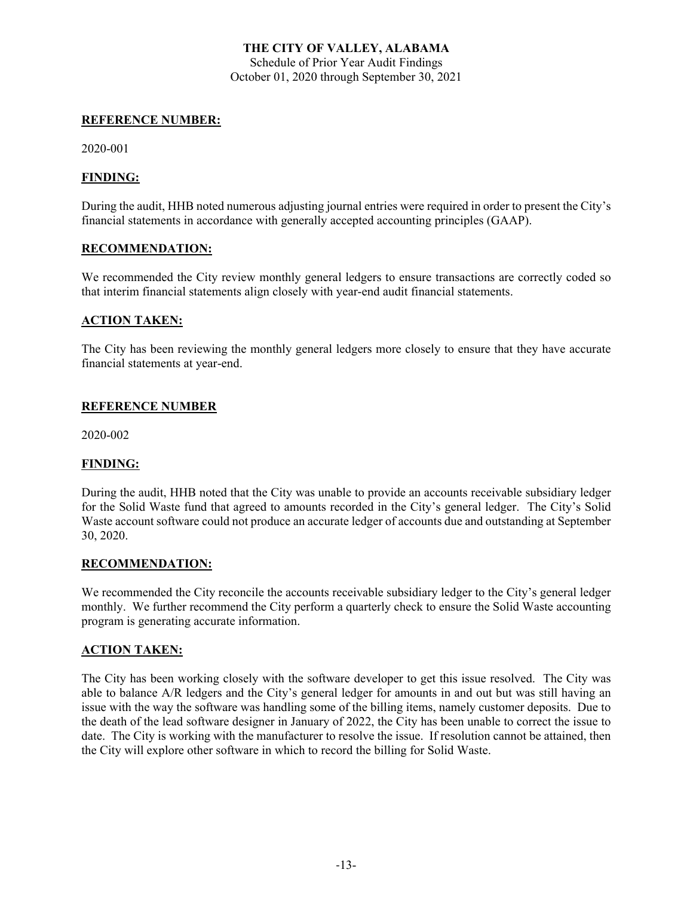#### **THE CITY OF VALLEY, ALABAMA**  Schedule of Prior Year Audit Findings October 01, 2020 through September 30, 2021

#### **REFERENCE NUMBER:**

2020-001

#### **FINDING:**

During the audit, HHB noted numerous adjusting journal entries were required in order to present the City's financial statements in accordance with generally accepted accounting principles (GAAP).

#### **RECOMMENDATION:**

We recommended the City review monthly general ledgers to ensure transactions are correctly coded so that interim financial statements align closely with year-end audit financial statements.

#### **ACTION TAKEN:**

The City has been reviewing the monthly general ledgers more closely to ensure that they have accurate financial statements at year-end.

#### **REFERENCE NUMBER**

2020-002

#### **FINDING:**

During the audit, HHB noted that the City was unable to provide an accounts receivable subsidiary ledger for the Solid Waste fund that agreed to amounts recorded in the City's general ledger. The City's Solid Waste account software could not produce an accurate ledger of accounts due and outstanding at September 30, 2020.

#### **RECOMMENDATION:**

We recommended the City reconcile the accounts receivable subsidiary ledger to the City's general ledger monthly. We further recommend the City perform a quarterly check to ensure the Solid Waste accounting program is generating accurate information.

#### **ACTION TAKEN:**

The City has been working closely with the software developer to get this issue resolved. The City was able to balance A/R ledgers and the City's general ledger for amounts in and out but was still having an issue with the way the software was handling some of the billing items, namely customer deposits. Due to the death of the lead software designer in January of 2022, the City has been unable to correct the issue to date. The City is working with the manufacturer to resolve the issue. If resolution cannot be attained, then the City will explore other software in which to record the billing for Solid Waste.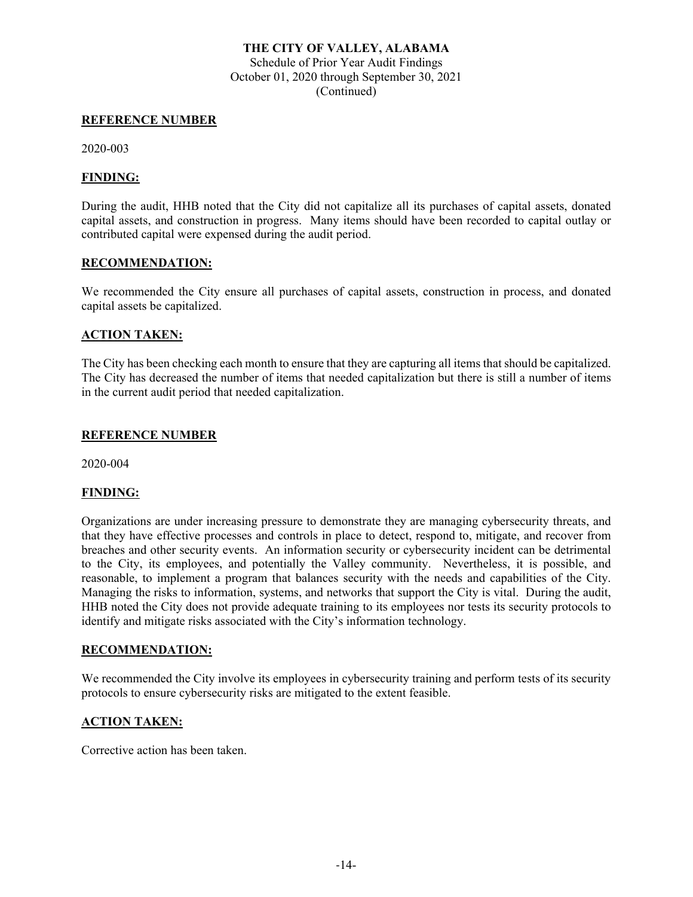Schedule of Prior Year Audit Findings October 01, 2020 through September 30, 2021 (Continued)

#### **REFERENCE NUMBER**

2020-003

#### **FINDING:**

During the audit, HHB noted that the City did not capitalize all its purchases of capital assets, donated capital assets, and construction in progress. Many items should have been recorded to capital outlay or contributed capital were expensed during the audit period.

#### **RECOMMENDATION:**

We recommended the City ensure all purchases of capital assets, construction in process, and donated capital assets be capitalized.

#### **ACTION TAKEN:**

The City has been checking each month to ensure that they are capturing all items that should be capitalized. The City has decreased the number of items that needed capitalization but there is still a number of items in the current audit period that needed capitalization.

#### **REFERENCE NUMBER**

2020-004

#### **FINDING:**

Organizations are under increasing pressure to demonstrate they are managing cybersecurity threats, and that they have effective processes and controls in place to detect, respond to, mitigate, and recover from breaches and other security events. An information security or cybersecurity incident can be detrimental to the City, its employees, and potentially the Valley community. Nevertheless, it is possible, and reasonable, to implement a program that balances security with the needs and capabilities of the City. Managing the risks to information, systems, and networks that support the City is vital. During the audit, HHB noted the City does not provide adequate training to its employees nor tests its security protocols to identify and mitigate risks associated with the City's information technology.

#### **RECOMMENDATION:**

We recommended the City involve its employees in cybersecurity training and perform tests of its security protocols to ensure cybersecurity risks are mitigated to the extent feasible.

#### **ACTION TAKEN:**

Corrective action has been taken.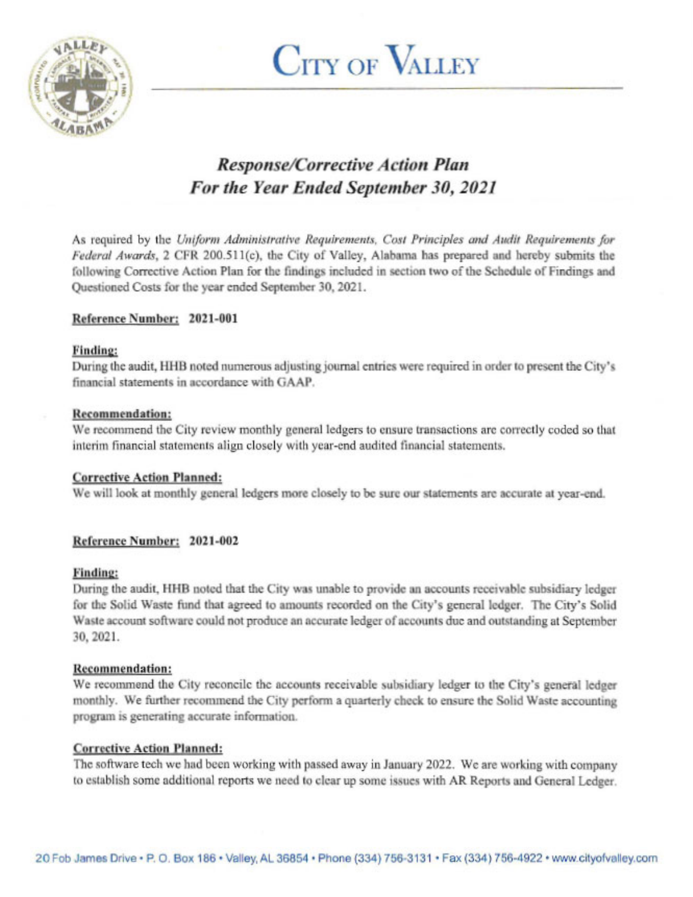

# **CITY OF VALLEY**

## **Response/Corrective Action Plan** For the Year Ended September 30, 2021

As required by the Uniform Administrative Requirements, Cost Principles and Audit Requirements for Federal Awards, 2 CFR 200.511(c), the City of Valley, Alabama has prepared and hereby submits the following Corrective Action Plan for the findings included in section two of the Schedule of Findings and Questioned Costs for the year ended September 30, 2021.

## Reference Number: 2021-001

#### Finding:

During the audit, HHB noted numerous adjusting journal entries were required in order to present the City's financial statements in accordance with GAAP.

#### **Recommendation:**

We recommend the City review monthly general ledgers to ensure transactions are correctly coded so that interim financial statements align closely with year-end audited financial statements.

#### **Corrective Action Planned:**

We will look at monthly general ledgers more closely to be sure our statements are accurate at year-end.

#### Reference Number: 2021-002

#### Finding:

During the audit, HHB noted that the City was unable to provide an accounts receivable subsidiary ledger for the Solid Waste fund that agreed to amounts recorded on the City's general ledger. The City's Solid Waste account software could not produce an accurate ledger of accounts due and outstanding at September 30, 2021.

#### **Recommendation:**

We recommend the City reconcilc the accounts receivable subsidiary ledger to the City's general ledger monthly. We further recommend the City perform a quarterly check to ensure the Solid Waste accounting program is generating accurate information.

#### **Corrective Action Planned:**

The software tech we had been working with passed away in January 2022. We are working with company to establish some additional reports we need to clear up some issues with AR Reports and General Ledger.